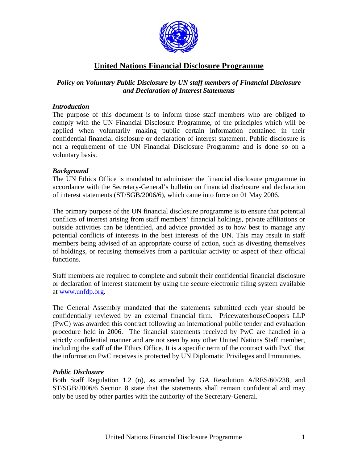

# **United Nations Financial Disclosure Programme**

## *Policy on Voluntary Public Disclosure by UN staff members of Financial Disclosure and Declaration of Interest Statements*

### *Introduction*

The purpose of this document is to inform those staff members who are obliged to comply with the UN Financial Disclosure Programme, of the principles which will be applied when voluntarily making public certain information contained in their confidential financial disclosure or declaration of interest statement. Public disclosure is not a requirement of the UN Financial Disclosure Programme and is done so on a voluntary basis.

### *Background*

The UN Ethics Office is mandated to administer the financial disclosure programme in accordance with the Secretary-General's bulletin on financial disclosure and declaration of interest statements (ST/SGB/2006/6), which came into force on 01 May 2006.

The primary purpose of the UN financial disclosure programme is to ensure that potential conflicts of interest arising from staff members' financial holdings, private affiliations or outside activities can be identified, and advice provided as to how best to manage any potential conflicts of interests in the best interests of the UN. This may result in staff members being advised of an appropriate course of action, such as divesting themselves of holdings, or recusing themselves from a particular activity or aspect of their official functions.

Staff members are required to complete and submit their confidential financial disclosure or declaration of interest statement by using the secure electronic filing system available at www.unfdp.org.

The General Assembly mandated that the statements submitted each year should be confidentially reviewed by an external financial firm. PricewaterhouseCoopers LLP (PwC) was awarded this contract following an international public tender and evaluation procedure held in 2006. The financial statements received by PwC are handled in a strictly confidential manner and are not seen by any other United Nations Staff member, including the staff of the Ethics Office. It is a specific term of the contract with PwC that the information PwC receives is protected by UN Diplomatic Privileges and Immunities.

#### *Public Disclosure*

Both Staff Regulation 1.2 (n), as amended by GA Resolution A/RES/60/238, and ST/SGB/2006/6 Section 8 state that the statements shall remain confidential and may only be used by other parties with the authority of the Secretary-General.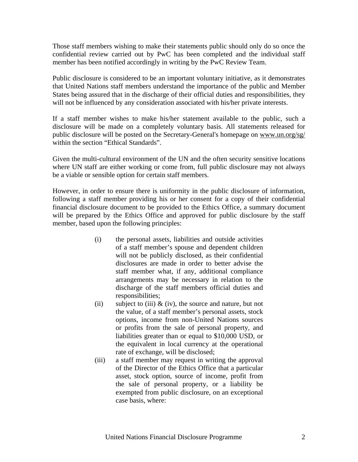Those staff members wishing to make their statements public should only do so once the confidential review carried out by PwC has been completed and the individual staff member has been notified accordingly in writing by the PwC Review Team.

Public disclosure is considered to be an important voluntary initiative, as it demonstrates that United Nations staff members understand the importance of the public and Member States being assured that in the discharge of their official duties and responsibilities, they will not be influenced by any consideration associated with his/her private interests.

If a staff member wishes to make his/her statement available to the public, such a disclosure will be made on a completely voluntary basis. All statements released for public disclosure will be posted on the Secretary-General's homepage on www.un.org/sg/ within the section "Ethical Standards".

Given the multi-cultural environment of the UN and the often security sensitive locations where UN staff are either working or come from, full public disclosure may not always be a viable or sensible option for certain staff members.

However, in order to ensure there is uniformity in the public disclosure of information, following a staff member providing his or her consent for a copy of their confidential financial disclosure document to be provided to the Ethics Office, a summary document will be prepared by the Ethics Office and approved for public disclosure by the staff member, based upon the following principles:

- (i) the personal assets, liabilities and outside activities of a staff member's spouse and dependent children will not be publicly disclosed, as their confidential disclosures are made in order to better advise the staff member what, if any, additional compliance arrangements may be necessary in relation to the discharge of the staff members official duties and responsibilities;
- (ii) subject to (iii)  $\&$  (iv), the source and nature, but not the value, of a staff member's personal assets, stock options, income from non-United Nations sources or profits from the sale of personal property, and liabilities greater than or equal to \$10,000 USD, or the equivalent in local currency at the operational rate of exchange, will be disclosed;
- (iii) a staff member may request in writing the approval of the Director of the Ethics Office that a particular asset, stock option, source of income, profit from the sale of personal property, or a liability be exempted from public disclosure, on an exceptional case basis, where: